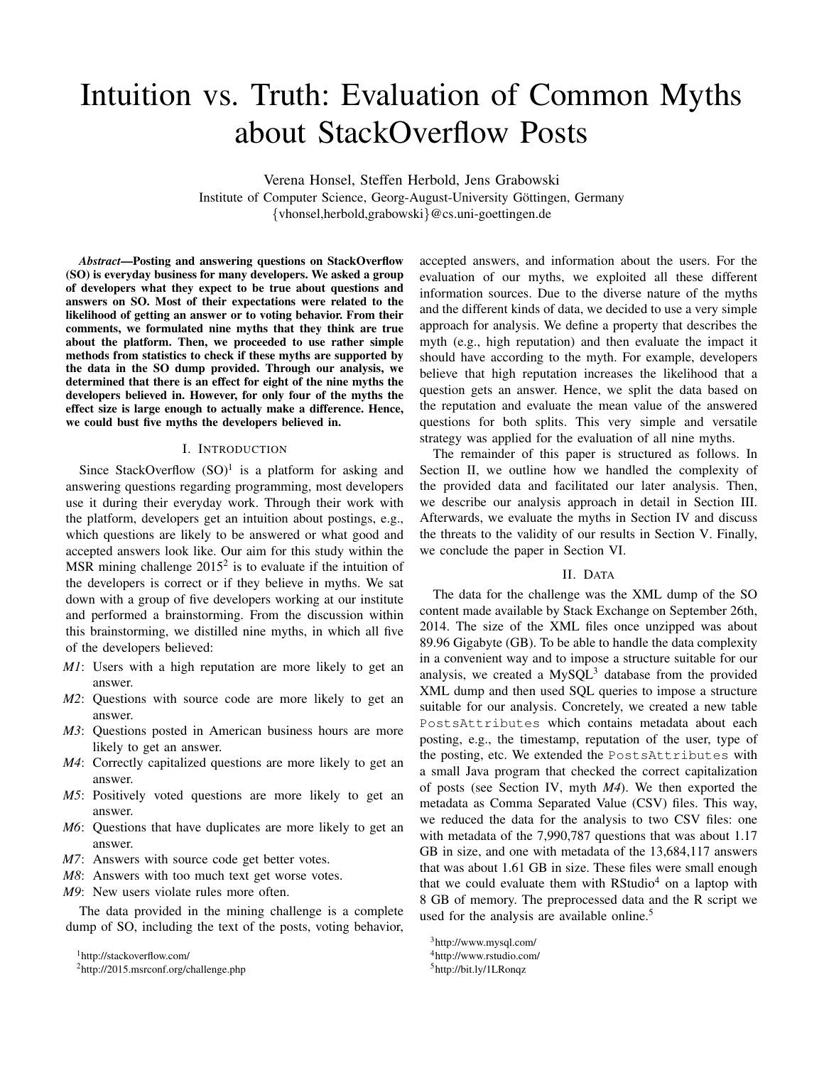# Intuition vs. Truth: Evaluation of Common Myths about StackOverflow Posts

Verena Honsel, Steffen Herbold, Jens Grabowski Institute of Computer Science, Georg-August-University Gottingen, Germany ¨ {vhonsel,herbold,grabowski}@cs.uni-goettingen.de

*Abstract*—Posting and answering questions on StackOverflow (SO) is everyday business for many developers. We asked a group of developers what they expect to be true about questions and answers on SO. Most of their expectations were related to the likelihood of getting an answer or to voting behavior. From their comments, we formulated nine myths that they think are true about the platform. Then, we proceeded to use rather simple methods from statistics to check if these myths are supported by the data in the SO dump provided. Through our analysis, we determined that there is an effect for eight of the nine myths the developers believed in. However, for only four of the myths the effect size is large enough to actually make a difference. Hence, we could bust five myths the developers believed in.

#### I. INTRODUCTION

Since StackOverflow  $(SO)^1$  is a platform for asking and answering questions regarding programming, most developers use it during their everyday work. Through their work with the platform, developers get an intuition about postings, e.g., which questions are likely to be answered or what good and accepted answers look like. Our aim for this study within the MSR mining challenge  $2015^2$  is to evaluate if the intuition of the developers is correct or if they believe in myths. We sat down with a group of five developers working at our institute and performed a brainstorming. From the discussion within this brainstorming, we distilled nine myths, in which all five of the developers believed:

- *M1*: Users with a high reputation are more likely to get an answer.
- *M2*: Questions with source code are more likely to get an answer.
- *M3*: Questions posted in American business hours are more likely to get an answer.
- *M4*: Correctly capitalized questions are more likely to get an answer.
- *M5*: Positively voted questions are more likely to get an answer.
- *M6*: Questions that have duplicates are more likely to get an answer.
- *M7*: Answers with source code get better votes.
- *M8*: Answers with too much text get worse votes.
- *M9*: New users violate rules more often.

The data provided in the mining challenge is a complete dump of SO, including the text of the posts, voting behavior,

<sup>1</sup>http://stackoverflow.com/

accepted answers, and information about the users. For the evaluation of our myths, we exploited all these different information sources. Due to the diverse nature of the myths and the different kinds of data, we decided to use a very simple approach for analysis. We define a property that describes the myth (e.g., high reputation) and then evaluate the impact it should have according to the myth. For example, developers believe that high reputation increases the likelihood that a question gets an answer. Hence, we split the data based on the reputation and evaluate the mean value of the answered questions for both splits. This very simple and versatile strategy was applied for the evaluation of all nine myths.

The remainder of this paper is structured as follows. In Section II, we outline how we handled the complexity of the provided data and facilitated our later analysis. Then, we describe our analysis approach in detail in Section III. Afterwards, we evaluate the myths in Section IV and discuss the threats to the validity of our results in Section V. Finally, we conclude the paper in Section VI.

#### II. DATA

The data for the challenge was the XML dump of the SO content made available by Stack Exchange on September 26th, 2014. The size of the XML files once unzipped was about 89.96 Gigabyte (GB). To be able to handle the data complexity in a convenient way and to impose a structure suitable for our analysis, we created a  $MySQL^3$  database from the provided XML dump and then used SQL queries to impose a structure suitable for our analysis. Concretely, we created a new table PostsAttributes which contains metadata about each posting, e.g., the timestamp, reputation of the user, type of the posting, etc. We extended the PostsAttributes with a small Java program that checked the correct capitalization of posts (see Section IV, myth *M4*). We then exported the metadata as Comma Separated Value (CSV) files. This way, we reduced the data for the analysis to two CSV files: one with metadata of the 7,990,787 questions that was about 1.17 GB in size, and one with metadata of the 13,684,117 answers that was about 1.61 GB in size. These files were small enough that we could evaluate them with  $\text{RStudio}^4$  on a laptop with 8 GB of memory. The preprocessed data and the R script we used for the analysis are available online.<sup>5</sup>

<sup>3</sup>http://www.mysql.com/ <sup>4</sup>http://www.rstudio.com/

<sup>5</sup>http://bit.ly/1LRonqz

<sup>2</sup>http://2015.msrconf.org/challenge.php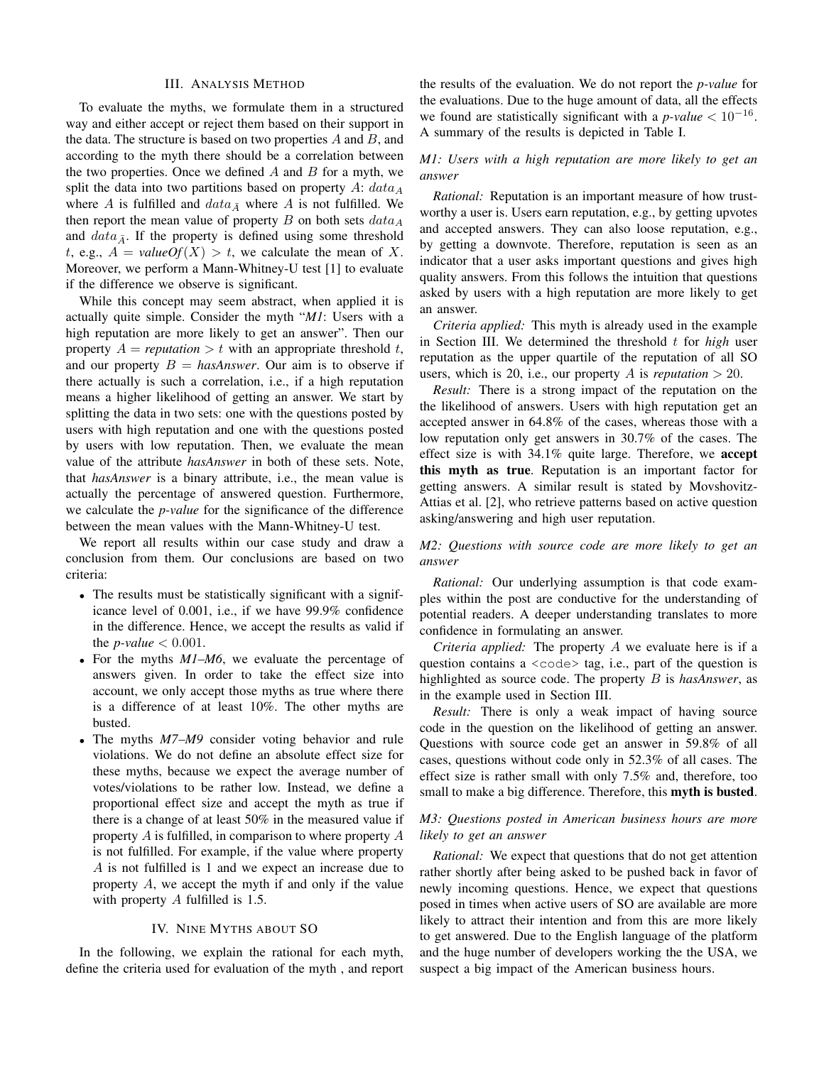#### III. ANALYSIS METHOD

To evaluate the myths, we formulate them in a structured way and either accept or reject them based on their support in the data. The structure is based on two properties  $A$  and  $B$ , and according to the myth there should be a correlation between the two properties. Once we defined  $A$  and  $B$  for a myth, we split the data into two partitions based on property  $A: data_A$ where A is fulfilled and  $data_{\bar{A}}$  where A is not fulfilled. We then report the mean value of property  $B$  on both sets  $data_A$ and  $data_{\bar{A}}$ . If the property is defined using some threshold t, e.g.,  $A = valueOf(X) > t$ , we calculate the mean of X. Moreover, we perform a Mann-Whitney-U test [1] to evaluate if the difference we observe is significant.

While this concept may seem abstract, when applied it is actually quite simple. Consider the myth "*M1*: Users with a high reputation are more likely to get an answer". Then our property  $A = \text{reputation} > t$  with an appropriate threshold t, and our property  $B = \text{hasAnswer}$ . Our aim is to observe if there actually is such a correlation, i.e., if a high reputation means a higher likelihood of getting an answer. We start by splitting the data in two sets: one with the questions posted by users with high reputation and one with the questions posted by users with low reputation. Then, we evaluate the mean value of the attribute *hasAnswer* in both of these sets. Note, that *hasAnswer* is a binary attribute, i.e., the mean value is actually the percentage of answered question. Furthermore, we calculate the *p-value* for the significance of the difference between the mean values with the Mann-Whitney-U test.

We report all results within our case study and draw a conclusion from them. Our conclusions are based on two criteria:

- The results must be statistically significant with a significance level of 0.001, i.e., if we have 99.9% confidence in the difference. Hence, we accept the results as valid if the *p*-value  $< 0.001$ .
- For the myths *M1*–*M6*, we evaluate the percentage of answers given. In order to take the effect size into account, we only accept those myths as true where there is a difference of at least 10%. The other myths are busted.
- The myths *M7*–*M9* consider voting behavior and rule violations. We do not define an absolute effect size for these myths, because we expect the average number of votes/violations to be rather low. Instead, we define a proportional effect size and accept the myth as true if there is a change of at least 50% in the measured value if property A is fulfilled, in comparison to where property A is not fulfilled. For example, if the value where property A is not fulfilled is 1 and we expect an increase due to property A, we accept the myth if and only if the value with property A fulfilled is 1.5.

### IV. NINE MYTHS ABOUT SO

In the following, we explain the rational for each myth, define the criteria used for evaluation of the myth , and report

the results of the evaluation. We do not report the *p-value* for the evaluations. Due to the huge amount of data, all the effects we found are statistically significant with a  $p$ -value  $< 10^{-16}$ . A summary of the results is depicted in Table I.

# *M1: Users with a high reputation are more likely to get an answer*

*Rational:* Reputation is an important measure of how trustworthy a user is. Users earn reputation, e.g., by getting upvotes and accepted answers. They can also loose reputation, e.g., by getting a downvote. Therefore, reputation is seen as an indicator that a user asks important questions and gives high quality answers. From this follows the intuition that questions asked by users with a high reputation are more likely to get an answer.

*Criteria applied:* This myth is already used in the example in Section III. We determined the threshold t for *high* user reputation as the upper quartile of the reputation of all SO users, which is 20, i.e., our property  $A$  is *reputation*  $> 20$ .

*Result:* There is a strong impact of the reputation on the the likelihood of answers. Users with high reputation get an accepted answer in 64.8% of the cases, whereas those with a low reputation only get answers in 30.7% of the cases. The effect size is with 34.1% quite large. Therefore, we accept this myth as true. Reputation is an important factor for getting answers. A similar result is stated by Movshovitz-Attias et al. [2], who retrieve patterns based on active question asking/answering and high user reputation.

# *M2: Questions with source code are more likely to get an answer*

*Rational:* Our underlying assumption is that code examples within the post are conductive for the understanding of potential readers. A deeper understanding translates to more confidence in formulating an answer.

*Criteria applied:* The property A we evaluate here is if a question contains a  $\le$  code> tag, i.e., part of the question is highlighted as source code. The property B is *hasAnswer*, as in the example used in Section III.

*Result:* There is only a weak impact of having source code in the question on the likelihood of getting an answer. Questions with source code get an answer in 59.8% of all cases, questions without code only in 52.3% of all cases. The effect size is rather small with only 7.5% and, therefore, too small to make a big difference. Therefore, this myth is busted.

# *M3: Questions posted in American business hours are more likely to get an answer*

*Rational:* We expect that questions that do not get attention rather shortly after being asked to be pushed back in favor of newly incoming questions. Hence, we expect that questions posed in times when active users of SO are available are more likely to attract their intention and from this are more likely to get answered. Due to the English language of the platform and the huge number of developers working the the USA, we suspect a big impact of the American business hours.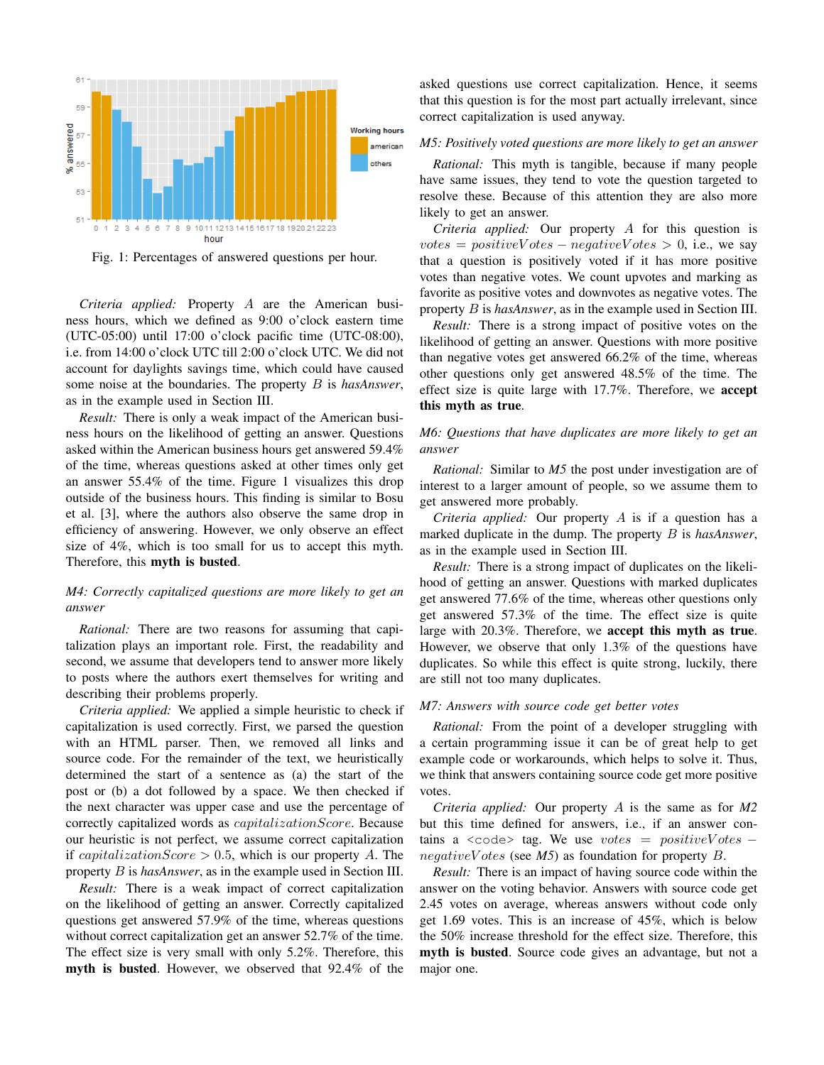

Fig. 1: Percentages of answered questions per hour.

*Criteria applied:* Property A are the American business hours, which we defined as 9:00 o'clock eastern time (UTC-05:00) until 17:00 o'clock pacific time (UTC-08:00), i.e. from 14:00 o'clock UTC till 2:00 o'clock UTC. We did not account for daylights savings time, which could have caused some noise at the boundaries. The property B is *hasAnswer*, as in the example used in Section III.

*Result:* There is only a weak impact of the American business hours on the likelihood of getting an answer. Questions asked within the American business hours get answered 59.4% of the time, whereas questions asked at other times only get an answer 55.4% of the time. Figure 1 visualizes this drop outside of the business hours. This finding is similar to Bosu et al. [3], where the authors also observe the same drop in efficiency of answering. However, we only observe an effect size of 4%, which is too small for us to accept this myth. Therefore, this myth is busted.

# *M4: Correctly capitalized questions are more likely to get an answer*

*Rational:* There are two reasons for assuming that capitalization plays an important role. First, the readability and second, we assume that developers tend to answer more likely to posts where the authors exert themselves for writing and describing their problems properly.

*Criteria applied:* We applied a simple heuristic to check if capitalization is used correctly. First, we parsed the question with an HTML parser. Then, we removed all links and source code. For the remainder of the text, we heuristically determined the start of a sentence as (a) the start of the post or (b) a dot followed by a space. We then checked if the next character was upper case and use the percentage of correctly capitalized words as capitalizationScore. Because our heuristic is not perfect, we assume correct capitalization if capitalization Score  $> 0.5$ , which is our property A. The property B is *hasAnswer*, as in the example used in Section III.

*Result:* There is a weak impact of correct capitalization on the likelihood of getting an answer. Correctly capitalized questions get answered 57.9% of the time, whereas questions without correct capitalization get an answer 52.7% of the time. The effect size is very small with only 5.2%. Therefore, this myth is busted. However, we observed that 92.4% of the

asked questions use correct capitalization. Hence, it seems that this question is for the most part actually irrelevant, since correct capitalization is used anyway.

# *M5: Positively voted questions are more likely to get an answer*

*Rational:* This myth is tangible, because if many people have same issues, they tend to vote the question targeted to resolve these. Because of this attention they are also more likely to get an answer.

*Criteria applied:* Our property A for this question is  $votes = positiveVotes - negativeVotes > 0$ , i.e., we say that a question is positively voted if it has more positive votes than negative votes. We count upvotes and marking as favorite as positive votes and downvotes as negative votes. The property B is *hasAnswer*, as in the example used in Section III.

*Result:* There is a strong impact of positive votes on the likelihood of getting an answer. Questions with more positive than negative votes get answered 66.2% of the time, whereas other questions only get answered 48.5% of the time. The effect size is quite large with 17.7%. Therefore, we accept this myth as true.

# *M6: Questions that have duplicates are more likely to get an answer*

*Rational:* Similar to *M5* the post under investigation are of interest to a larger amount of people, so we assume them to get answered more probably.

*Criteria applied:* Our property A is if a question has a marked duplicate in the dump. The property B is *hasAnswer*, as in the example used in Section III.

*Result:* There is a strong impact of duplicates on the likelihood of getting an answer. Questions with marked duplicates get answered 77.6% of the time, whereas other questions only get answered 57.3% of the time. The effect size is quite large with 20.3%. Therefore, we accept this myth as true. However, we observe that only 1.3% of the questions have duplicates. So while this effect is quite strong, luckily, there are still not too many duplicates.

#### *M7: Answers with source code get better votes*

*Rational:* From the point of a developer struggling with a certain programming issue it can be of great help to get example code or workarounds, which helps to solve it. Thus, we think that answers containing source code get more positive votes.

*Criteria applied:* Our property A is the same as for *M2* but this time defined for answers, i.e., if an answer contains a  $\le$  code> tag. We use votes = positiveV otes – negativeV otes (see *M5*) as foundation for property B.

*Result:* There is an impact of having source code within the answer on the voting behavior. Answers with source code get 2.45 votes on average, whereas answers without code only get 1.69 votes. This is an increase of 45%, which is below the 50% increase threshold for the effect size. Therefore, this myth is busted. Source code gives an advantage, but not a major one.